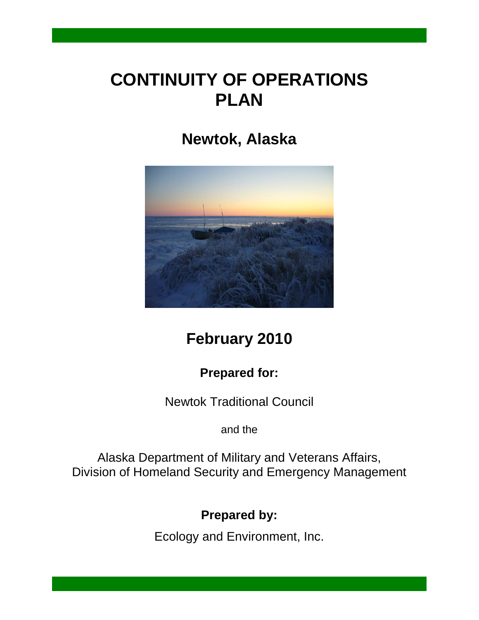## **CONTINUITY OF OPERATIONS PLAN**

## **Newtok, Alaska**



## **February 2010**

## **Prepared for:**

Newtok Traditional Council

and the

Alaska Department of Military and Veterans Affairs, Division of Homeland Security and Emergency Management

**Prepared by:**

Ecology and Environment, Inc.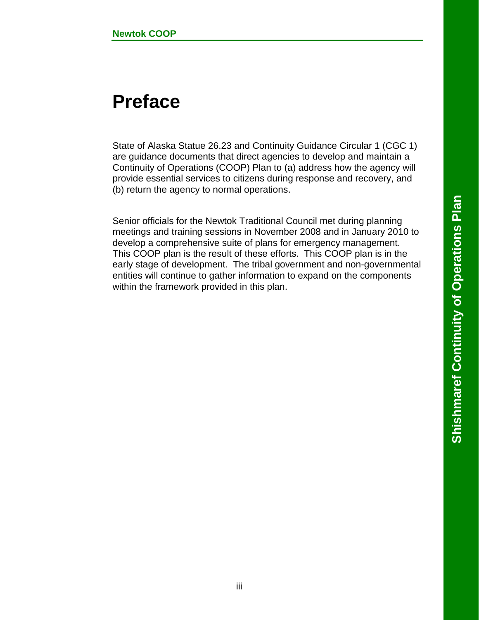# **Preface**

State of Alaska Statue 26.23 and Continuity Guidance Circular 1 (CGC 1) are guidance documents that direct agencies to develop and maintain a Continuity of Operations (COOP) Plan to (a) address how the agency will provide essential services to citizens during response and recovery, and (b) return the agency to normal operations.

Senior officials for the Newtok Traditional Council met during planning meetings and training sessions in November 2008 and in January 2010 to develop a comprehensive suite of plans for emergency management. This COOP plan is the result of these efforts. This COOP plan is in the early stage of development. The tribal government and non-governmental entities will continue to gather information to expand on the components within the framework provided in this plan.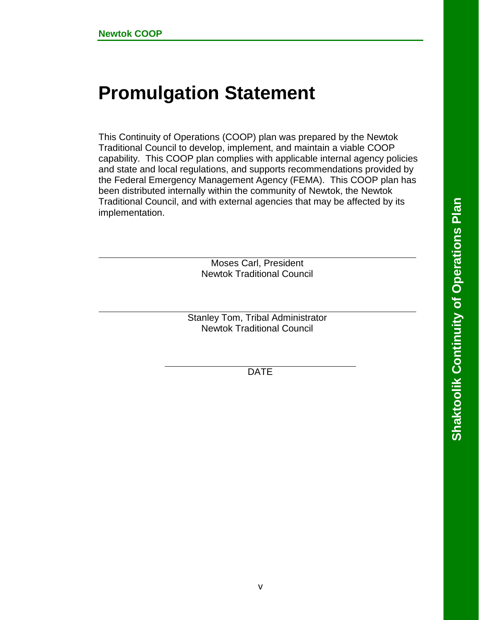# **Promulgation Statement**

This Continuity of Operations (COOP) plan was prepared by the Newtok Traditional Council to develop, implement, and maintain a viable COOP capability. This COOP plan complies with applicable internal agency policies and state and local regulations, and supports recommendations provided by the Federal Emergency Management Agency (FEMA). This COOP plan has been distributed internally within the community of Newtok, the Newtok Traditional Council, and with external agencies that may be affected by its implementation.

> Moses Carl, President Newtok Traditional Council

Stanley Tom, Tribal Administrator Newtok Traditional Council

DATE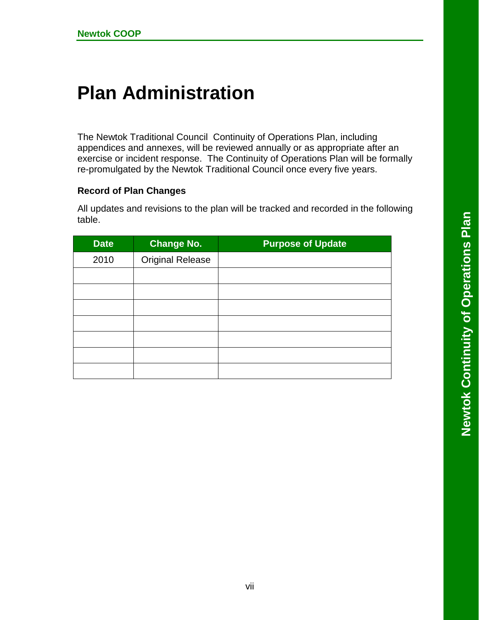# **Plan Administration**

The Newtok Traditional Council Continuity of Operations Plan, including appendices and annexes, will be reviewed annually or as appropriate after an exercise or incident response. The Continuity of Operations Plan will be formally re-promulgated by the Newtok Traditional Council once every five years.

#### **Record of Plan Changes**

All updates and revisions to the plan will be tracked and recorded in the following table.

| <b>Date</b> | <b>Change No.</b>       | <b>Purpose of Update</b> |
|-------------|-------------------------|--------------------------|
| 2010        | <b>Original Release</b> |                          |
|             |                         |                          |
|             |                         |                          |
|             |                         |                          |
|             |                         |                          |
|             |                         |                          |
|             |                         |                          |
|             |                         |                          |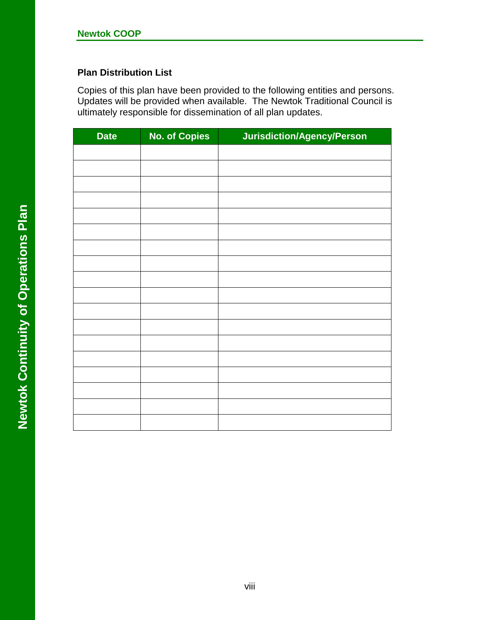#### **Plan Distribution List**

Copies of this plan have been provided to the following entities and persons. Updates will be provided when available. The Newtok Traditional Council is ultimately responsible for dissemination of all plan updates.

| <b>Date</b> | <b>No. of Copies</b> | Jurisdiction/Agency/Person |
|-------------|----------------------|----------------------------|
|             |                      |                            |
|             |                      |                            |
|             |                      |                            |
|             |                      |                            |
|             |                      |                            |
|             |                      |                            |
|             |                      |                            |
|             |                      |                            |
|             |                      |                            |
|             |                      |                            |
|             |                      |                            |
|             |                      |                            |
|             |                      |                            |
|             |                      |                            |
|             |                      |                            |
|             |                      |                            |
|             |                      |                            |
|             |                      |                            |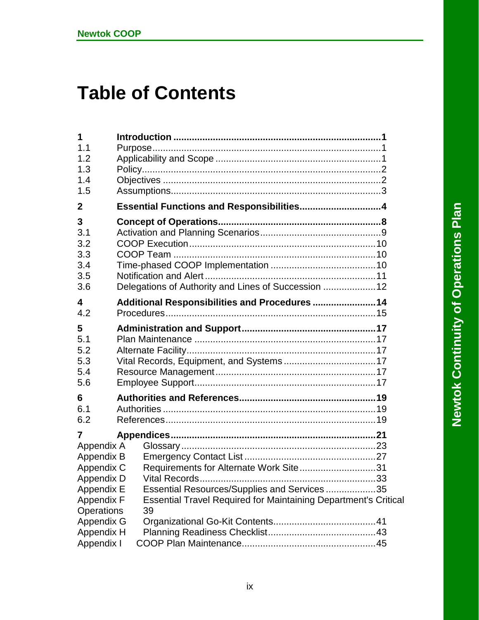# **Table of Contents**

| 1<br>1.1<br>1.2<br>1.3<br>1.4<br>1.5                                                                                                          |                                                                                                                                                                                                |     |
|-----------------------------------------------------------------------------------------------------------------------------------------------|------------------------------------------------------------------------------------------------------------------------------------------------------------------------------------------------|-----|
| $\mathbf{2}$                                                                                                                                  | Essential Functions and Responsibilities4                                                                                                                                                      |     |
| 3<br>3.1<br>3.2<br>3.3<br>3.4<br>3.5<br>3.6                                                                                                   | Delegations of Authority and Lines of Succession  12                                                                                                                                           |     |
| $\overline{\mathbf{4}}$<br>4.2                                                                                                                | Additional Responsibilities and Procedures  14                                                                                                                                                 |     |
| 5<br>5.1<br>5.2<br>5.3<br>5.4<br>5.6                                                                                                          |                                                                                                                                                                                                |     |
| 6<br>6.1<br>6.2                                                                                                                               |                                                                                                                                                                                                |     |
| 7<br>Appendix A<br>Appendix B<br>Appendix C<br>Appendix D<br>Appendix E<br>Appendix F<br>Operations<br>Appendix G<br>Appendix H<br>Appendix I | Requirements for Alternate Work Site31<br><b>Vital Records</b><br>Essential Resources/Supplies and Services 35<br><b>Essential Travel Required for Maintaining Department's Critical</b><br>39 | -33 |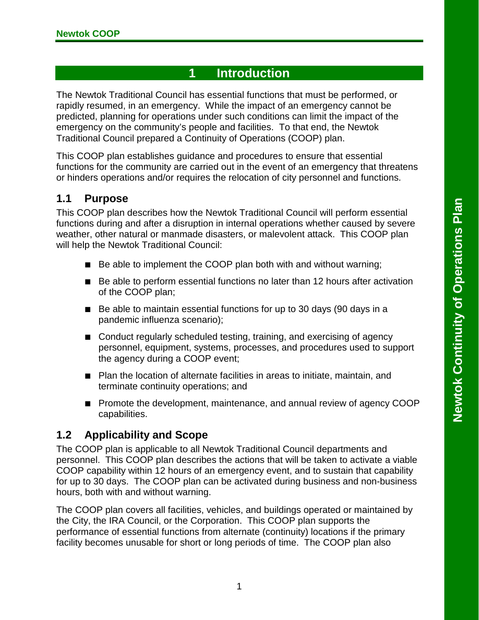## **1 Introduction**

<span id="page-10-0"></span>The Newtok Traditional Council has essential functions that must be performed, or rapidly resumed, in an emergency. While the impact of an emergency cannot be predicted, planning for operations under such conditions can limit the impact of the emergency on the community's people and facilities. To that end, the Newtok Traditional Council prepared a Continuity of Operations (COOP) plan.

This COOP plan establishes guidance and procedures to ensure that essential functions for the community are carried out in the event of an emergency that threatens or hinders operations and/or requires the relocation of city personnel and functions.

#### <span id="page-10-1"></span>**1.1 Purpose**

This COOP plan describes how the Newtok Traditional Council will perform essential functions during and after a disruption in internal operations whether caused by severe weather, other natural or manmade disasters, or malevolent attack. This COOP plan will help the Newtok Traditional Council:

- Be able to implement the COOP plan both with and without warning;
- Be able to perform essential functions no later than 12 hours after activation of the COOP plan;
- Be able to maintain essential functions for up to 30 days (90 days in a pandemic influenza scenario);
- Conduct regularly scheduled testing, training, and exercising of agency personnel, equipment, systems, processes, and procedures used to support the agency during a COOP event;
- Plan the location of alternate facilities in areas to initiate, maintain, and terminate continuity operations; and
- Promote the development, maintenance, and annual review of agency COOP capabilities.

#### <span id="page-10-2"></span>**1.2 Applicability and Scope**

The COOP plan is applicable to all Newtok Traditional Council departments and personnel. This COOP plan describes the actions that will be taken to activate a viable COOP capability within 12 hours of an emergency event, and to sustain that capability for up to 30 days. The COOP plan can be activated during business and non-business hours, both with and without warning.

The COOP plan covers all facilities, vehicles, and buildings operated or maintained by the City, the IRA Council, or the Corporation. This COOP plan supports the performance of essential functions from alternate (continuity) locations if the primary facility becomes unusable for short or long periods of time. The COOP plan also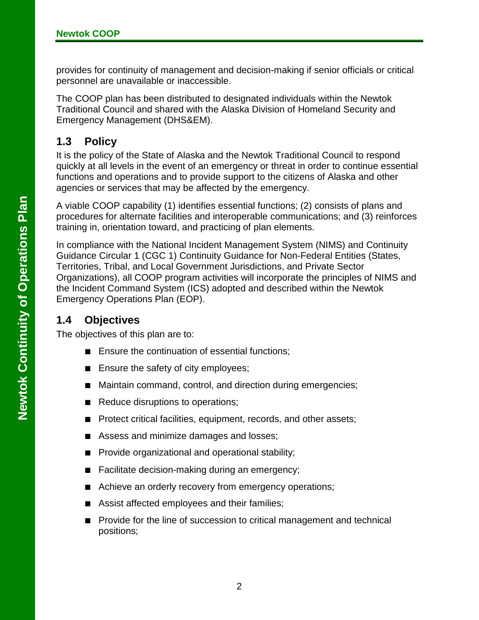provides for continuity of management and decision-making if senior officials or critical personnel are unavailable or inaccessible.

The COOP plan has been distributed to designated individuals within the Newtok Traditional Council and shared with the Alaska Division of Homeland Security and Emergency Management (DHS&EM).

### <span id="page-11-0"></span>**1.3 Policy**

It is the policy of the State of Alaska and the Newtok Traditional Council to respond quickly at all levels in the event of an emergency or threat in order to continue essential functions and operations and to provide support to the citizens of Alaska and other agencies or services that may be affected by the emergency.

A viable COOP capability (1) identifies essential functions; (2) consists of plans and procedures for alternate facilities and interoperable communications; and (3) reinforces training in, orientation toward, and practicing of plan elements.

In compliance with the National Incident Management System (NIMS) and Continuity Guidance Circular 1 (CGC 1) Continuity Guidance for Non-Federal Entities (States, Territories, Tribal, and Local Government Jurisdictions, and Private Sector Organizations), all COOP program activities will incorporate the principles of NIMS and the Incident Command System (ICS) adopted and described within the Newtok Emergency Operations Plan (EOP).

#### <span id="page-11-1"></span>**1.4 Objectives**

The objectives of this plan are to:

- Ensure the continuation of essential functions;
- Ensure the safety of city employees;
- Maintain command, control, and direction during emergencies;
- Reduce disruptions to operations;
- Protect critical facilities, equipment, records, and other assets;
- Assess and minimize damages and losses;
- Provide organizational and operational stability;
- Facilitate decision-making during an emergency;
- Achieve an orderly recovery from emergency operations;
- Assist affected employees and their families;
- Provide for the line of succession to critical management and technical positions;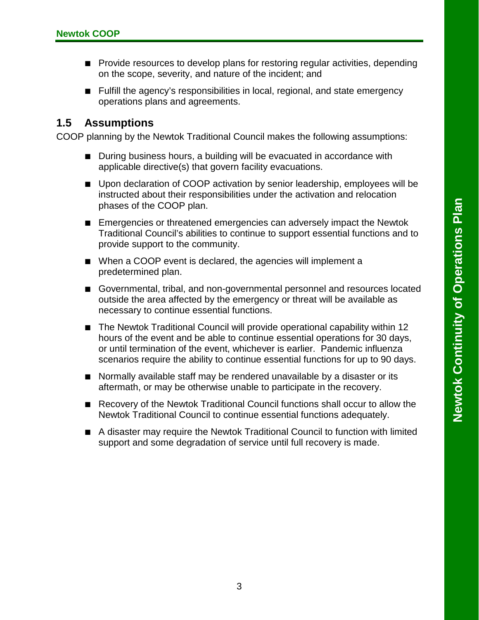- Provide resources to develop plans for restoring regular activities, depending on the scope, severity, and nature of the incident; and
- Fulfill the agency's responsibilities in local, regional, and state emergency operations plans and agreements.

#### <span id="page-12-0"></span>**1.5 Assumptions**

COOP planning by the Newtok Traditional Council makes the following assumptions:

- During business hours, a building will be evacuated in accordance with applicable directive(s) that govern facility evacuations.
- Upon declaration of COOP activation by senior leadership, employees will be instructed about their responsibilities under the activation and relocation phases of the COOP plan.
- Emergencies or threatened emergencies can adversely impact the Newtok Traditional Council's abilities to continue to support essential functions and to provide support to the community.
- When a COOP event is declared, the agencies will implement a predetermined plan.
- Governmental, tribal, and non-governmental personnel and resources located outside the area affected by the emergency or threat will be available as necessary to continue essential functions.
- The Newtok Traditional Council will provide operational capability within 12 hours of the event and be able to continue essential operations for 30 days, or until termination of the event, whichever is earlier. Pandemic influenza scenarios require the ability to continue essential functions for up to 90 days.
- Normally available staff may be rendered unavailable by a disaster or its aftermath, or may be otherwise unable to participate in the recovery.
- Recovery of the Newtok Traditional Council functions shall occur to allow the Newtok Traditional Council to continue essential functions adequately.
- <span id="page-12-1"></span>■ A disaster may require the Newtok Traditional Council to function with limited support and some degradation of service until full recovery is made.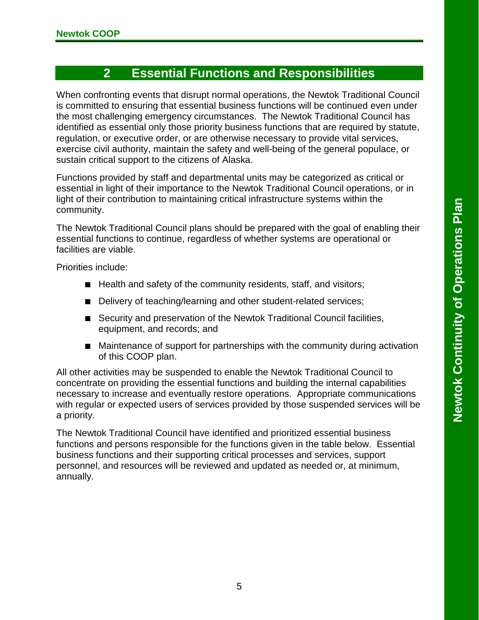## **2 Essential Functions and Responsibilities**

When confronting events that disrupt normal operations, the Newtok Traditional Council is committed to ensuring that essential business functions will be continued even under the most challenging emergency circumstances. The Newtok Traditional Council has identified as essential only those priority business functions that are required by statute, regulation, or executive order, or are otherwise necessary to provide vital services, exercise civil authority, maintain the safety and well-being of the general populace, or sustain critical support to the citizens of Alaska.

Functions provided by staff and departmental units may be categorized as critical or essential in light of their importance to the Newtok Traditional Council operations, or in light of their contribution to maintaining critical infrastructure systems within the community.

The Newtok Traditional Council plans should be prepared with the goal of enabling their essential functions to continue, regardless of whether systems are operational or facilities are viable.

Priorities include:

- Health and safety of the community residents, staff, and visitors;
- Delivery of teaching/learning and other student-related services;
- Security and preservation of the Newtok Traditional Council facilities, equipment, and records; and
- Maintenance of support for partnerships with the community during activation of this COOP plan.

All other activities may be suspended to enable the Newtok Traditional Council to concentrate on providing the essential functions and building the internal capabilities necessary to increase and eventually restore operations. Appropriate communications with regular or expected users of services provided by those suspended services will be a priority.

The Newtok Traditional Council have identified and prioritized essential business functions and persons responsible for the functions given in the table below. Essential business functions and their supporting critical processes and services, support personnel, and resources will be reviewed and updated as needed or, at minimum, annually.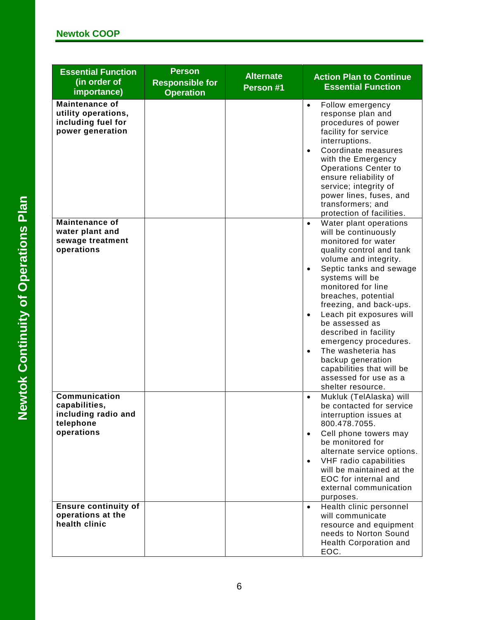| <b>Essential Function</b><br>(in order of<br>importance)                               | <b>Person</b><br><b>Responsible for</b><br><b>Operation</b> | <b>Alternate</b><br>Person #1 | <b>Action Plan to Continue</b><br><b>Essential Function</b>                                                                                                                                                                                                                                                                                                                                                                                                                                                                |
|----------------------------------------------------------------------------------------|-------------------------------------------------------------|-------------------------------|----------------------------------------------------------------------------------------------------------------------------------------------------------------------------------------------------------------------------------------------------------------------------------------------------------------------------------------------------------------------------------------------------------------------------------------------------------------------------------------------------------------------------|
| <b>Maintenance of</b><br>utility operations,<br>including fuel for<br>power generation |                                                             |                               | $\bullet$<br>Follow emergency<br>response plan and<br>procedures of power<br>facility for service<br>interruptions.<br>Coordinate measures<br>$\bullet$<br>with the Emergency<br><b>Operations Center to</b><br>ensure reliability of<br>service; integrity of<br>power lines, fuses, and<br>transformers; and<br>protection of facilities.                                                                                                                                                                                |
| <b>Maintenance of</b><br>water plant and<br>sewage treatment<br>operations             |                                                             |                               | Water plant operations<br>$\bullet$<br>will be continuously<br>monitored for water<br>quality control and tank<br>volume and integrity.<br>Septic tanks and sewage<br>$\bullet$<br>systems will be<br>monitored for line<br>breaches, potential<br>freezing, and back-ups.<br>Leach pit exposures will<br>$\bullet$<br>be assessed as<br>described in facility<br>emergency procedures.<br>The washeteria has<br>$\bullet$<br>backup generation<br>capabilities that will be<br>assessed for use as a<br>shelter resource. |
| Communication<br>capabilities,<br>including radio and<br>telephone<br>operations       |                                                             |                               | Mukluk (TelAlaska) will<br>$\bullet$<br>be contacted for service<br>interruption issues at<br>800.478.7055.<br>Cell phone towers may<br>$\bullet$<br>be monitored for<br>alternate service options.<br>VHF radio capabilities<br>$\bullet$<br>will be maintained at the<br>EOC for internal and<br>external communication<br>purposes.                                                                                                                                                                                     |
| <b>Ensure continuity of</b><br>operations at the<br>health clinic                      |                                                             |                               | Health clinic personnel<br>$\bullet$<br>will communicate<br>resource and equipment<br>needs to Norton Sound<br>Health Corporation and<br>EOC.                                                                                                                                                                                                                                                                                                                                                                              |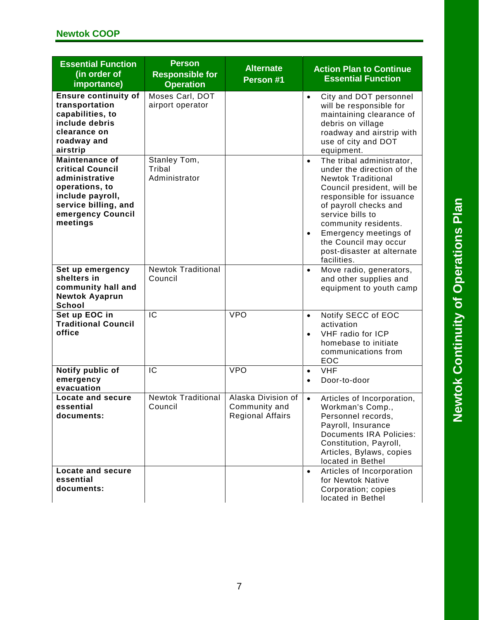| <b>Essential Function</b><br>(in order of<br>importance)                                                                                                   | <b>Person</b><br><b>Responsible for</b><br><b>Operation</b> | <b>Alternate</b><br>Person #1                                  | <b>Action Plan to Continue</b><br><b>Essential Function</b>                                                                                                                                                                                                                                                                                  |
|------------------------------------------------------------------------------------------------------------------------------------------------------------|-------------------------------------------------------------|----------------------------------------------------------------|----------------------------------------------------------------------------------------------------------------------------------------------------------------------------------------------------------------------------------------------------------------------------------------------------------------------------------------------|
| <b>Ensure continuity of</b><br>transportation<br>capabilities, to<br>include debris<br>clearance on<br>roadway and<br>airstrip                             | Moses Carl, DOT<br>airport operator                         |                                                                | City and DOT personnel<br>$\bullet$<br>will be responsible for<br>maintaining clearance of<br>debris on village<br>roadway and airstrip with<br>use of city and DOT<br>equipment.                                                                                                                                                            |
| <b>Maintenance of</b><br>critical Council<br>administrative<br>operations, to<br>include payroll,<br>service billing, and<br>emergency Council<br>meetings | Stanley Tom,<br>Tribal<br>Administrator                     |                                                                | The tribal administrator,<br>$\bullet$<br>under the direction of the<br><b>Newtok Traditional</b><br>Council president, will be<br>responsible for issuance<br>of payroll checks and<br>service bills to<br>community residents.<br>Emergency meetings of<br>$\bullet$<br>the Council may occur<br>post-disaster at alternate<br>facilities. |
| Set up emergency<br>shelters in<br>community hall and<br><b>Newtok Ayaprun</b><br>School                                                                   | <b>Newtok Traditional</b><br>Council                        |                                                                | Move radio, generators,<br>$\bullet$<br>and other supplies and<br>equipment to youth camp                                                                                                                                                                                                                                                    |
| Set up EOC in<br><b>Traditional Council</b><br>office                                                                                                      | $\overline{IC}$                                             | <b>VPO</b>                                                     | Notify SECC of EOC<br>$\bullet$<br>activation<br>VHF radio for ICP<br>$\bullet$<br>homebase to initiate<br>communications from<br>EOC                                                                                                                                                                                                        |
| Notify public of<br>emergency<br>evacuation                                                                                                                | IC                                                          | <b>VPO</b>                                                     | <b>VHF</b><br>$\bullet$<br>Door-to-door<br>$\bullet$                                                                                                                                                                                                                                                                                         |
| <b>Locate and secure</b><br>essential<br>documents:                                                                                                        | <b>Newtok Traditional</b><br>Council                        | Alaska Division of<br>Community and<br><b>Regional Affairs</b> | Articles of Incorporation,<br>$\bullet$<br>Workman's Comp.,<br>Personnel records,<br>Payroll, Insurance<br><b>Documents IRA Policies:</b><br>Constitution, Payroll,<br>Articles, Bylaws, copies<br>located in Bethel                                                                                                                         |
| Locate and secure<br>essential<br>documents:                                                                                                               |                                                             |                                                                | Articles of Incorporation<br>$\bullet$<br>for Newtok Native<br>Corporation; copies<br>located in Bethel                                                                                                                                                                                                                                      |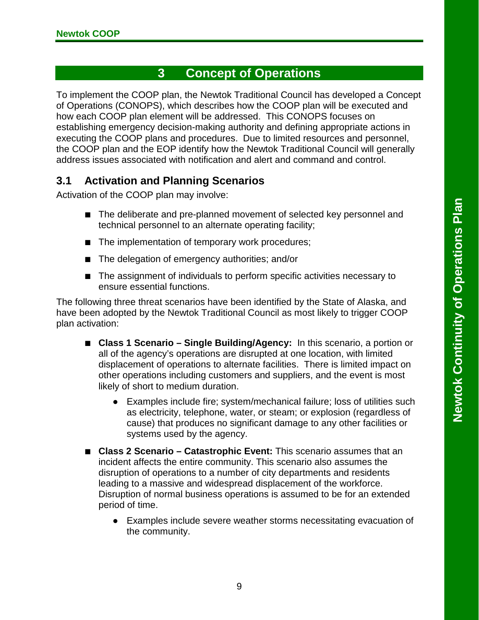## **3 Concept of Operations**

To implement the COOP plan, the Newtok Traditional Council has developed a Concept of Operations (CONOPS), which describes how the COOP plan will be executed and how each COOP plan element will be addressed. This CONOPS focuses on establishing emergency decision-making authority and defining appropriate actions in executing the COOP plans and procedures. Due to limited resources and personnel, the COOP plan and the EOP identify how the Newtok Traditional Council will generally address issues associated with notification and alert and command and control.

### <span id="page-18-0"></span>**3.1 Activation and Planning Scenarios**

Activation of the COOP plan may involve:

- The deliberate and pre-planned movement of selected key personnel and technical personnel to an alternate operating facility;
- The implementation of temporary work procedures;
- The delegation of emergency authorities; and/or
- The assignment of individuals to perform specific activities necessary to ensure essential functions.

The following three threat scenarios have been identified by the State of Alaska, and have been adopted by the Newtok Traditional Council as most likely to trigger COOP plan activation:

- **Class 1 Scenario Single Building/Agency:** In this scenario, a portion or all of the agency's operations are disrupted at one location, with limited displacement of operations to alternate facilities. There is limited impact on other operations including customers and suppliers, and the event is most likely of short to medium duration.
	- Examples include fire; system/mechanical failure; loss of utilities such as electricity, telephone, water, or steam; or explosion (regardless of cause) that produces no significant damage to any other facilities or systems used by the agency.
- **■ Class 2 Scenario – Catastrophic Event:** This scenario assumes that an incident affects the entire community. This scenario also assumes the disruption of operations to a number of city departments and residents leading to a massive and widespread displacement of the workforce. Disruption of normal business operations is assumed to be for an extended period of time.
	- Examples include severe weather storms necessitating evacuation of the community.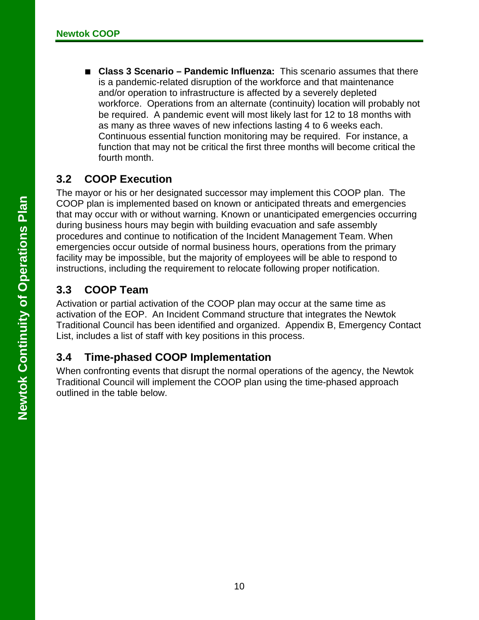**■ Class 3 Scenario – Pandemic Influenza:** This scenario assumes that there is a pandemic-related disruption of the workforce and that maintenance and/or operation to infrastructure is affected by a severely depleted workforce. Operations from an alternate (continuity) location will probably not be required. A pandemic event will most likely last for 12 to 18 months with as many as three waves of new infections lasting 4 to 6 weeks each. Continuous essential function monitoring may be required. For instance, a function that may not be critical the first three months will become critical the fourth month.

#### <span id="page-19-0"></span>**3.2 COOP Execution**

The mayor or his or her designated successor may implement this COOP plan. The COOP plan is implemented based on known or anticipated threats and emergencies that may occur with or without warning. Known or unanticipated emergencies occurring during business hours may begin with building evacuation and safe assembly procedures and continue to notification of the Incident Management Team. When emergencies occur outside of normal business hours, operations from the primary facility may be impossible, but the majority of employees will be able to respond to instructions, including the requirement to relocate following proper notification.

### <span id="page-19-1"></span>**3.3 COOP Team**

Activation or partial activation of the COOP plan may occur at the same time as activation of the EOP. An Incident Command structure that integrates the Newtok Traditional Council has been identified and organized. Appendix B, Emergency Contact List, includes a list of staff with key positions in this process.

#### <span id="page-19-2"></span>**3.4 Time-phased COOP Implementation**

When confronting events that disrupt the normal operations of the agency, the Newtok Traditional Council will implement the COOP plan using the time-phased approach outlined in the table below.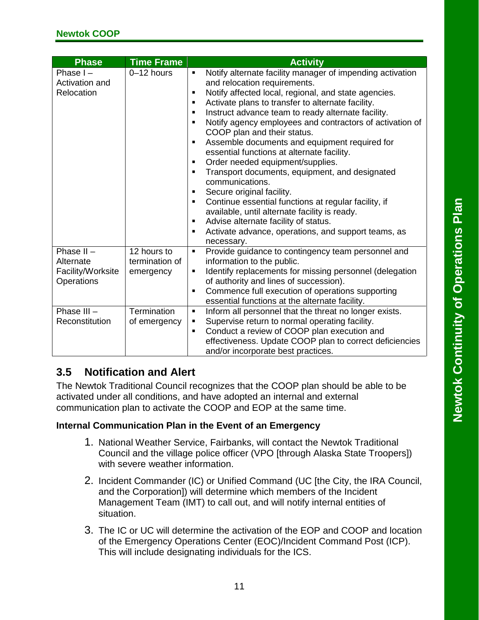| <b>Phase</b>                                                 | <b>Time Frame</b>                          | <b>Activity</b>                                                                                                                                                                                                                                                                                                                                                                                                                                                                                                                                                                                                                                                                                                                                                                                                                                                                             |
|--------------------------------------------------------------|--------------------------------------------|---------------------------------------------------------------------------------------------------------------------------------------------------------------------------------------------------------------------------------------------------------------------------------------------------------------------------------------------------------------------------------------------------------------------------------------------------------------------------------------------------------------------------------------------------------------------------------------------------------------------------------------------------------------------------------------------------------------------------------------------------------------------------------------------------------------------------------------------------------------------------------------------|
| Phase $I -$<br>Activation and<br>Relocation                  | 0-12 hours                                 | Notify alternate facility manager of impending activation<br>Ξ<br>and relocation requirements.<br>Notify affected local, regional, and state agencies.<br>٠<br>Activate plans to transfer to alternate facility.<br>٠<br>Instruct advance team to ready alternate facility.<br>٠<br>Notify agency employees and contractors of activation of<br>$\blacksquare$<br>COOP plan and their status.<br>Assemble documents and equipment required for<br>٠<br>essential functions at alternate facility.<br>Order needed equipment/supplies.<br>٠<br>Transport documents, equipment, and designated<br>٠<br>communications.<br>Secure original facility.<br>٠<br>Continue essential functions at regular facility, if<br>٠<br>available, until alternate facility is ready.<br>Advise alternate facility of status.<br>п<br>Activate advance, operations, and support teams, as<br>٠<br>necessary. |
| Phase $II -$<br>Alternate<br>Facility/Worksite<br>Operations | 12 hours to<br>termination of<br>emergency | Provide guidance to contingency team personnel and<br>$\blacksquare$<br>information to the public.<br>Identify replacements for missing personnel (delegation<br>٠<br>of authority and lines of succession).<br>Commence full execution of operations supporting<br>٠<br>essential functions at the alternate facility.                                                                                                                                                                                                                                                                                                                                                                                                                                                                                                                                                                     |
| Phase $III -$<br>Reconstitution                              | Termination<br>of emergency                | Inform all personnel that the threat no longer exists.<br>$\blacksquare$<br>Supervise return to normal operating facility.<br>٠<br>Conduct a review of COOP plan execution and<br>$\blacksquare$<br>effectiveness. Update COOP plan to correct deficiencies<br>and/or incorporate best practices.                                                                                                                                                                                                                                                                                                                                                                                                                                                                                                                                                                                           |

## <span id="page-20-0"></span>**3.5 Notification and Alert**

The Newtok Traditional Council recognizes that the COOP plan should be able to be activated under all conditions, and have adopted an internal and external communication plan to activate the COOP and EOP at the same time.

#### **Internal Communication Plan in the Event of an Emergency**

- 1. National Weather Service, Fairbanks, will contact the Newtok Traditional Council and the village police officer (VPO [through Alaska State Troopers]) with severe weather information.
- 2. Incident Commander (IC) or Unified Command (UC [the City, the IRA Council, and the Corporation]) will determine which members of the Incident Management Team (IMT) to call out, and will notify internal entities of situation.
- 3. The IC or UC will determine the activation of the EOP and COOP and location of the Emergency Operations Center (EOC)/Incident Command Post (ICP). This will include designating individuals for the ICS.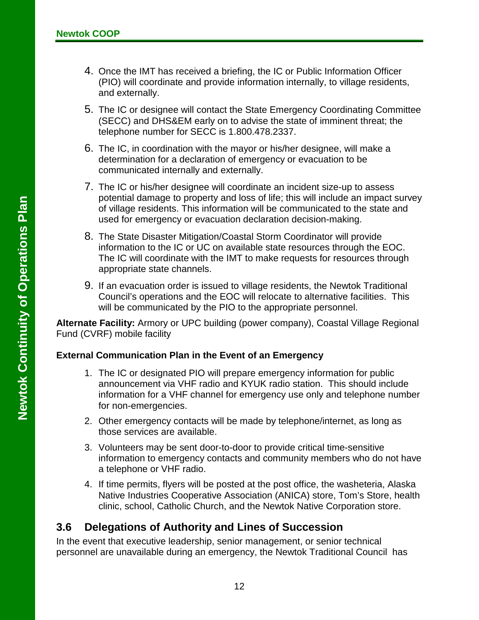- 4. Once the IMT has received a briefing, the IC or Public Information Officer (PIO) will coordinate and provide information internally, to village residents, and externally.
- 5. The IC or designee will contact the State Emergency Coordinating Committee (SECC) and DHS&EM early on to advise the state of imminent threat; the telephone number for SECC is 1.800.478.2337.
- 6. The IC, in coordination with the mayor or his/her designee, will make a determination for a declaration of emergency or evacuation to be communicated internally and externally.
- 7. The IC or his/her designee will coordinate an incident size-up to assess potential damage to property and loss of life; this will include an impact survey of village residents. This information will be communicated to the state and used for emergency or evacuation declaration decision-making.
- 8. The State Disaster Mitigation/Coastal Storm Coordinator will provide information to the IC or UC on available state resources through the EOC. The IC will coordinate with the IMT to make requests for resources through appropriate state channels.
- 9. If an evacuation order is issued to village residents, the Newtok Traditional Council's operations and the EOC will relocate to alternative facilities. This will be communicated by the PIO to the appropriate personnel.

**Alternate Facility:** Armory or UPC building (power company), Coastal Village Regional Fund (CVRF) mobile facility

#### **External Communication Plan in the Event of an Emergency**

- 1. The IC or designated PIO will prepare emergency information for public announcement via VHF radio and KYUK radio station. This should include information for a VHF channel for emergency use only and telephone number for non-emergencies.
- 2. Other emergency contacts will be made by telephone/internet, as long as those services are available.
- 3. Volunteers may be sent door-to-door to provide critical time-sensitive information to emergency contacts and community members who do not have a telephone or VHF radio.
- 4. If time permits, flyers will be posted at the post office, the washeteria, Alaska Native Industries Cooperative Association (ANICA) store, Tom's Store, health clinic, school, Catholic Church, and the Newtok Native Corporation store.

#### <span id="page-21-0"></span>**3.6 Delegations of Authority and Lines of Succession**

In the event that executive leadership, senior management, or senior technical personnel are unavailable during an emergency, the Newtok Traditional Council has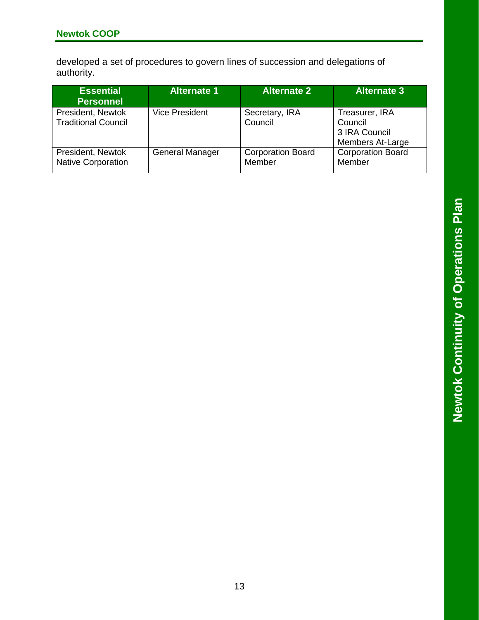developed a set of procedures to govern lines of succession and delegations of authority.

| <b>Essential</b><br><b>Personnel</b>            | <b>Alternate 1</b>     | <b>Alternate 2</b>                 | <b>Alternate 3</b>                                             |
|-------------------------------------------------|------------------------|------------------------------------|----------------------------------------------------------------|
| President, Newtok<br><b>Traditional Council</b> | <b>Vice President</b>  | Secretary, IRA<br>Council          | Treasurer, IRA<br>Council<br>3 IRA Council<br>Members At-Large |
| President, Newtok<br><b>Native Corporation</b>  | <b>General Manager</b> | <b>Corporation Board</b><br>Member | <b>Corporation Board</b><br>Member                             |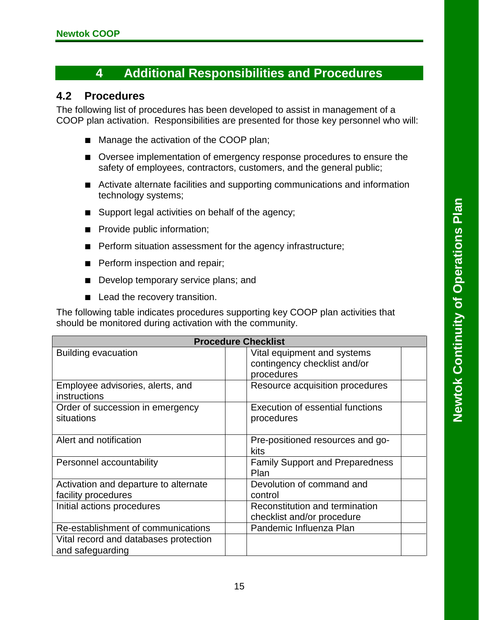## **4 Additional Responsibilities and Procedures**

#### <span id="page-24-0"></span>**4.2 Procedures**

The following list of procedures has been developed to assist in management of a COOP plan activation. Responsibilities are presented for those key personnel who will:

- Manage the activation of the COOP plan;
- Oversee implementation of emergency response procedures to ensure the safety of employees, contractors, customers, and the general public;
- Activate alternate facilities and supporting communications and information technology systems;
- Support legal activities on behalf of the agency;
- Provide public information;
- Perform situation assessment for the agency infrastructure;
- Perform inspection and repair;
- Develop temporary service plans; and
- Lead the recovery transition.

The following table indicates procedures supporting key COOP plan activities that should be monitored during activation with the community.

|                                                              | <b>Procedure Checklist</b>                                                |  |  |  |  |
|--------------------------------------------------------------|---------------------------------------------------------------------------|--|--|--|--|
| <b>Building evacuation</b>                                   | Vital equipment and systems<br>contingency checklist and/or<br>procedures |  |  |  |  |
| Employee advisories, alerts, and<br>instructions             | Resource acquisition procedures                                           |  |  |  |  |
| Order of succession in emergency<br>situations               | Execution of essential functions<br>procedures                            |  |  |  |  |
| Alert and notification                                       | Pre-positioned resources and go-<br>kits                                  |  |  |  |  |
| Personnel accountability                                     | <b>Family Support and Preparedness</b><br>Plan                            |  |  |  |  |
| Activation and departure to alternate<br>facility procedures | Devolution of command and<br>control                                      |  |  |  |  |
| Initial actions procedures                                   | Reconstitution and termination<br>checklist and/or procedure              |  |  |  |  |
| Re-establishment of communications                           | Pandemic Influenza Plan                                                   |  |  |  |  |
| Vital record and databases protection<br>and safeguarding    |                                                                           |  |  |  |  |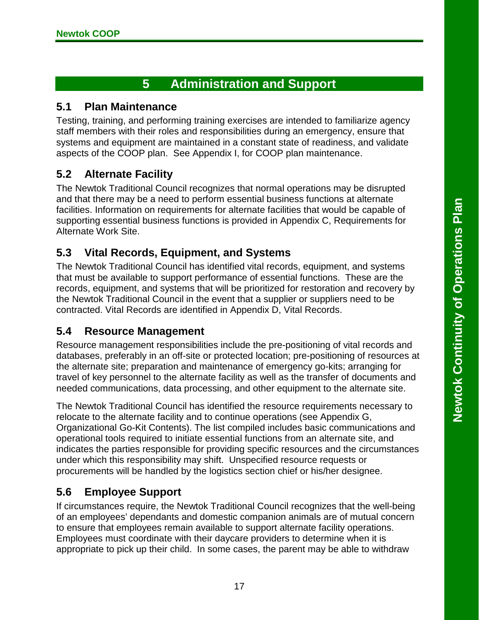## **5 Administration and Support**

#### <span id="page-26-1"></span><span id="page-26-0"></span>**5.1 Plan Maintenance**

Testing, training, and performing training exercises are intended to familiarize agency staff members with their roles and responsibilities during an emergency, ensure that systems and equipment are maintained in a constant state of readiness, and validate aspects of the COOP plan. See Appendix I, for COOP plan maintenance.

#### <span id="page-26-2"></span>**5.2 Alternate Facility**

The Newtok Traditional Council recognizes that normal operations may be disrupted and that there may be a need to perform essential business functions at alternate facilities. Information on requirements for alternate facilities that would be capable of supporting essential business functions is provided in Appendix C, Requirements for Alternate Work Site.

#### <span id="page-26-3"></span>**5.3 Vital Records, Equipment, and Systems**

The Newtok Traditional Council has identified vital records, equipment, and systems that must be available to support performance of essential functions. These are the records, equipment, and systems that will be prioritized for restoration and recovery by the Newtok Traditional Council in the event that a supplier or suppliers need to be contracted. Vital Records are identified in Appendix D, Vital Records.

#### <span id="page-26-4"></span>**5.4 Resource Management**

Resource management responsibilities include the pre-positioning of vital records and databases, preferably in an off-site or protected location; pre-positioning of resources at the alternate site; preparation and maintenance of emergency go-kits; arranging for travel of key personnel to the alternate facility as well as the transfer of documents and needed communications, data processing, and other equipment to the alternate site.

The Newtok Traditional Council has identified the resource requirements necessary to relocate to the alternate facility and to continue operations (see Appendix G, Organizational Go-Kit Contents). The list compiled includes basic communications and operational tools required to initiate essential functions from an alternate site, and indicates the parties responsible for providing specific resources and the circumstances under which this responsibility may shift. Unspecified resource requests or procurements will be handled by the logistics section chief or his/her designee.

#### <span id="page-26-5"></span>**5.6 Employee Support**

If circumstances require, the Newtok Traditional Council recognizes that the well-being of an employees' dependants and domestic companion animals are of mutual concern to ensure that employees remain available to support alternate facility operations. Employees must coordinate with their daycare providers to determine when it is appropriate to pick up their child. In some cases, the parent may be able to withdraw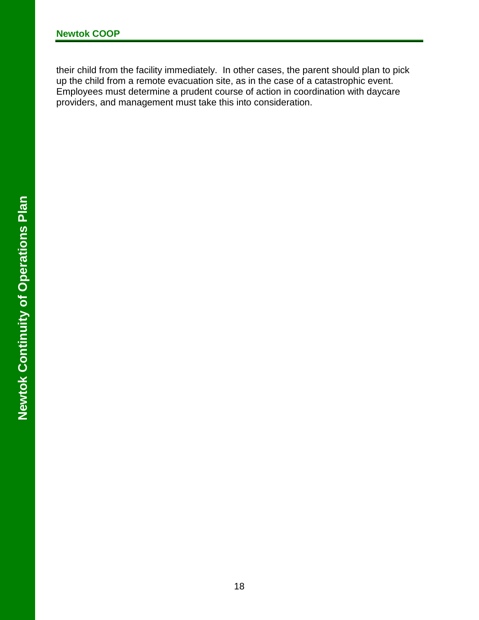their child from the facility immediately. In other cases, the parent should plan to pick up the child from a remote evacuation site, as in the case of a catastrophic event. Employees must determine a prudent course of action in coordination with daycare providers, and management must take this into consideration.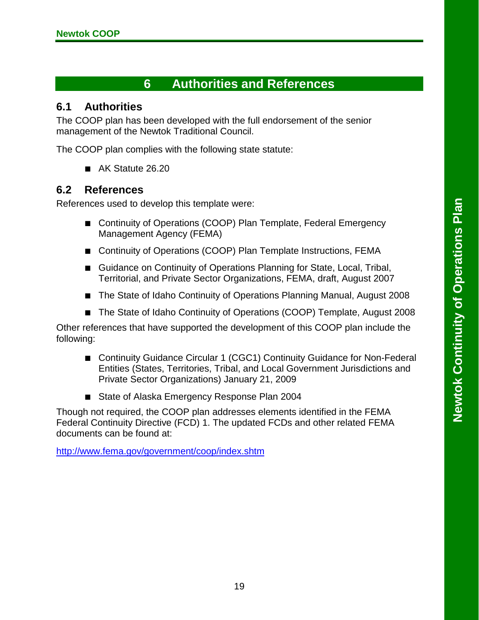## **6 Authorities and References**

#### <span id="page-28-1"></span><span id="page-28-0"></span>**6.1 Authorities**

The COOP plan has been developed with the full endorsement of the senior management of the Newtok Traditional Council.

The COOP plan complies with the following state statute:

■ AK Statute 26.20

#### <span id="page-28-2"></span>**6.2 References**

References used to develop this template were:

- Continuity of Operations (COOP) Plan Template, Federal Emergency Management Agency (FEMA)
- Continuity of Operations (COOP) Plan Template Instructions, FEMA
- Guidance on Continuity of Operations Planning for State, Local, Tribal, Territorial, and Private Sector Organizations, FEMA, draft, August 2007
- The State of Idaho Continuity of Operations Planning Manual, August 2008
- The State of Idaho Continuity of Operations (COOP) Template, August 2008

Other references that have supported the development of this COOP plan include the following:

- Continuity Guidance Circular 1 (CGC1) Continuity Guidance for Non-Federal Entities (States, Territories, Tribal, and Local Government Jurisdictions and Private Sector Organizations) January 21, 2009
- State of Alaska Emergency Response Plan 2004

Though not required, the COOP plan addresses elements identified in the FEMA Federal Continuity Directive (FCD) 1. The updated FCDs and other related FEMA documents can be found at:

<http://www.fema.gov/government/coop/index.shtm>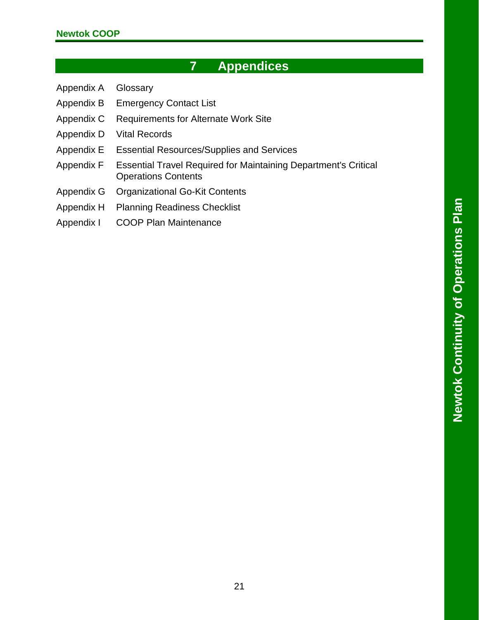## **7 Appendices**

- <span id="page-30-0"></span>Appendix A Glossary
- Appendix B Emergency Contact List
- Appendix C Requirements for Alternate Work Site
- Appendix D Vital Records
- Appendix E Essential Resources/Supplies and Services
- Appendix F Essential Travel Required for Maintaining Department's Critical Operations Contents
- Appendix G Organizational Go-Kit Contents
- Appendix H Planning Readiness Checklist
- Appendix I COOP Plan Maintenance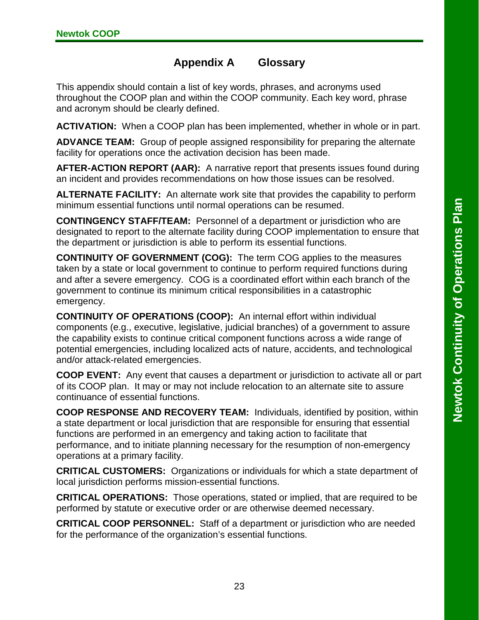#### **Appendix A Glossary**

<span id="page-32-0"></span>This appendix should contain a list of key words, phrases, and acronyms used throughout the COOP plan and within the COOP community. Each key word, phrase and acronym should be clearly defined.

**ACTIVATION:** When a COOP plan has been implemented, whether in whole or in part.

**ADVANCE TEAM:** Group of people assigned responsibility for preparing the alternate facility for operations once the activation decision has been made.

**AFTER-ACTION REPORT (AAR):** A narrative report that presents issues found during an incident and provides recommendations on how those issues can be resolved.

**ALTERNATE FACILITY:** An alternate work site that provides the capability to perform minimum essential functions until normal operations can be resumed.

**CONTINGENCY STAFF/TEAM:** Personnel of a department or jurisdiction who are designated to report to the alternate facility during COOP implementation to ensure that the department or jurisdiction is able to perform its essential functions.

**CONTINUITY OF GOVERNMENT (COG):** The term COG applies to the measures taken by a state or local government to continue to perform required functions during and after a severe emergency. COG is a coordinated effort within each branch of the government to continue its minimum critical responsibilities in a catastrophic emergency.

**CONTINUITY OF OPERATIONS (COOP):** An internal effort within individual components (e.g., executive, legislative, judicial branches) of a government to assure the capability exists to continue critical component functions across a wide range of potential emergencies, including localized acts of nature, accidents, and technological and/or attack-related emergencies.

**COOP EVENT:** Any event that causes a department or jurisdiction to activate all or part of its COOP plan. It may or may not include relocation to an alternate site to assure continuance of essential functions.

**COOP RESPONSE AND RECOVERY TEAM:** Individuals, identified by position, within a state department or local jurisdiction that are responsible for ensuring that essential functions are performed in an emergency and taking action to facilitate that performance, and to initiate planning necessary for the resumption of non-emergency operations at a primary facility.

**CRITICAL CUSTOMERS:** Organizations or individuals for which a state department of local jurisdiction performs mission-essential functions.

**CRITICAL OPERATIONS:** Those operations, stated or implied, that are required to be performed by statute or executive order or are otherwise deemed necessary.

**CRITICAL COOP PERSONNEL:** Staff of a department or jurisdiction who are needed for the performance of the organization's essential functions.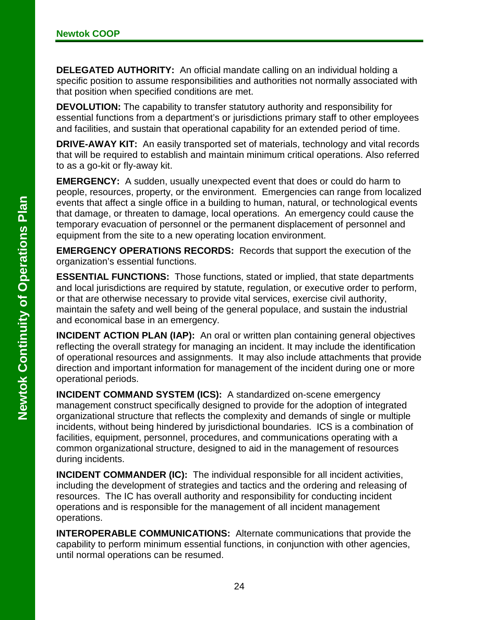**DELEGATED AUTHORITY:** An official mandate calling on an individual holding a specific position to assume responsibilities and authorities not normally associated with that position when specified conditions are met.

**DEVOLUTION:** The capability to transfer statutory authority and responsibility for essential functions from a department's or jurisdictions primary staff to other employees and facilities, and sustain that operational capability for an extended period of time.

**DRIVE-AWAY KIT:** An easily transported set of materials, technology and vital records that will be required to establish and maintain minimum critical operations. Also referred to as a go-kit or fly-away kit.

**EMERGENCY:** A sudden, usually unexpected event that does or could do harm to people, resources, property, or the environment. Emergencies can range from localized events that affect a single office in a building to human, natural, or technological events that damage, or threaten to damage, local operations. An emergency could cause the temporary evacuation of personnel or the permanent displacement of personnel and equipment from the site to a new operating location environment.

**EMERGENCY OPERATIONS RECORDS:** Records that support the execution of the organization's essential functions.

**ESSENTIAL FUNCTIONS:** Those functions, stated or implied, that state departments and local jurisdictions are required by statute, regulation, or executive order to perform, or that are otherwise necessary to provide vital services, exercise civil authority, maintain the safety and well being of the general populace, and sustain the industrial and economical base in an emergency.

**INCIDENT ACTION PLAN (IAP):** An oral or written plan containing general objectives reflecting the overall strategy for managing an incident. It may include the identification of operational resources and assignments. It may also include attachments that provide direction and important information for management of the incident during one or more operational periods.

**INCIDENT COMMAND SYSTEM (ICS):** A standardized on-scene emergency management construct specifically designed to provide for the adoption of integrated organizational structure that reflects the complexity and demands of single or multiple incidents, without being hindered by jurisdictional boundaries. ICS is a combination of facilities, equipment, personnel, procedures, and communications operating with a common organizational structure, designed to aid in the management of resources during incidents.

**INCIDENT COMMANDER (IC):** The individual responsible for all incident activities, including the development of strategies and tactics and the ordering and releasing of resources. The IC has overall authority and responsibility for conducting incident operations and is responsible for the management of all incident management operations.

**INTEROPERABLE COMMUNICATIONS:** Alternate communications that provide the capability to perform minimum essential functions, in conjunction with other agencies, until normal operations can be resumed.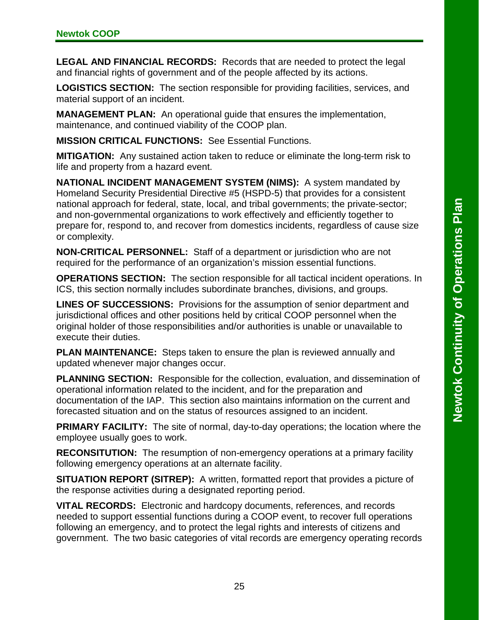**LEGAL AND FINANCIAL RECORDS:** Records that are needed to protect the legal and financial rights of government and of the people affected by its actions.

**LOGISTICS SECTION:** The section responsible for providing facilities, services, and material support of an incident.

**MANAGEMENT PLAN:** An operational guide that ensures the implementation, maintenance, and continued viability of the COOP plan.

**MISSION CRITICAL FUNCTIONS:** See Essential Functions.

**MITIGATION:** Any sustained action taken to reduce or eliminate the long-term risk to life and property from a hazard event.

**NATIONAL INCIDENT MANAGEMENT SYSTEM (NIMS):** A system mandated by Homeland Security Presidential Directive #5 (HSPD-5) that provides for a consistent national approach for federal, state, local, and tribal governments; the private-sector; and non-governmental organizations to work effectively and efficiently together to prepare for, respond to, and recover from domestics incidents, regardless of cause size or complexity.

**NON-CRITICAL PERSONNEL:** Staff of a department or jurisdiction who are not required for the performance of an organization's mission essential functions.

**OPERATIONS SECTION:** The section responsible for all tactical incident operations. In ICS, this section normally includes subordinate branches, divisions, and groups.

**LINES OF SUCCESSIONS:** Provisions for the assumption of senior department and jurisdictional offices and other positions held by critical COOP personnel when the original holder of those responsibilities and/or authorities is unable or unavailable to execute their duties.

**PLAN MAINTENANCE:** Steps taken to ensure the plan is reviewed annually and updated whenever major changes occur.

**PLANNING SECTION:** Responsible for the collection, evaluation, and dissemination of operational information related to the incident, and for the preparation and documentation of the IAP. This section also maintains information on the current and forecasted situation and on the status of resources assigned to an incident.

**PRIMARY FACILITY:** The site of normal, day-to-day operations; the location where the employee usually goes to work.

**RECONSITUTION:** The resumption of non-emergency operations at a primary facility following emergency operations at an alternate facility.

**SITUATION REPORT (SITREP):** A written, formatted report that provides a picture of the response activities during a designated reporting period.

**VITAL RECORDS:** Electronic and hardcopy documents, references, and records needed to support essential functions during a COOP event, to recover full operations following an emergency, and to protect the legal rights and interests of citizens and government. The two basic categories of vital records are emergency operating records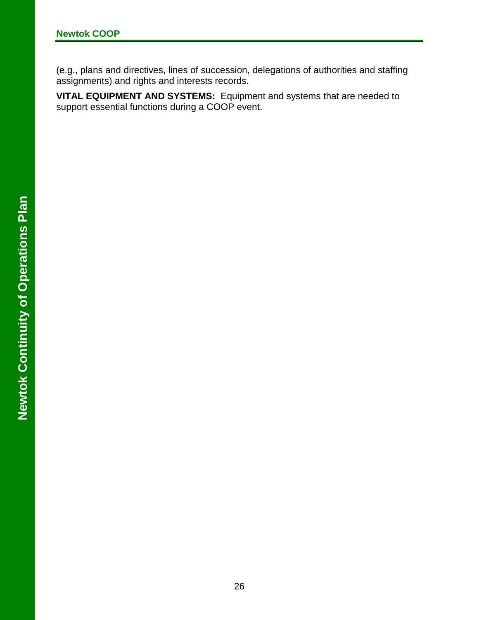(e.g., plans and directives, lines of succession, delegations of authorities and staffing assignments) and rights and interests records.

**VITAL EQUIPMENT AND SYSTEMS:** Equipment and systems that are needed to support essential functions during a COOP event.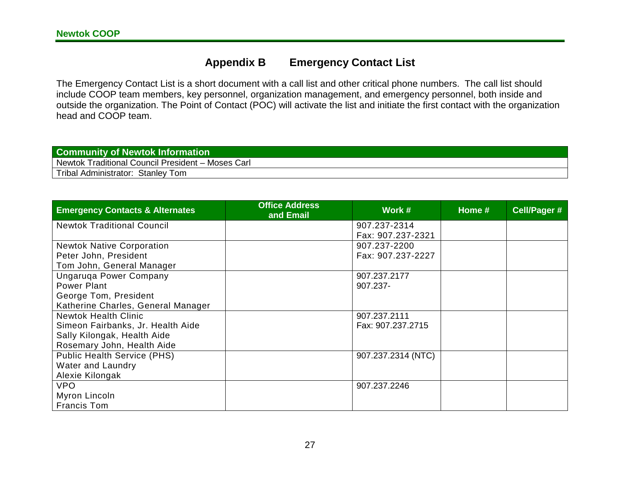#### **Appendix B Emergency Contact List**

The Emergency Contact List is a short document with a call list and other critical phone numbers. The call list should include COOP team members, key personnel, organization management, and emergency personnel, both inside and outside the organization. The Point of Contact (POC) will activate the list and initiate the first contact with the organization head and COOP team.

| <b>Community of Newtok Information</b>            |
|---------------------------------------------------|
| Newtok Traditional Council President - Moses Carl |
| Tribal Administrator: Stanley Tom                 |
|                                                   |

<span id="page-36-0"></span>

| <b>Emergency Contacts &amp; Alternates</b>                                                               | <b>Office Address</b><br>and Email | Work #                            | Home # | Cell/Pager # |
|----------------------------------------------------------------------------------------------------------|------------------------------------|-----------------------------------|--------|--------------|
| <b>Newtok Traditional Council</b>                                                                        |                                    | 907.237-2314<br>Fax: 907.237-2321 |        |              |
| <b>Newtok Native Corporation</b><br>Peter John, President                                                |                                    | 907.237-2200<br>Fax: 907.237-2227 |        |              |
| Tom John, General Manager<br>Ungaruga Power Company<br>Power Plant                                       |                                    | 907.237.2177<br>907.237-          |        |              |
| George Tom, President<br>Katherine Charles, General Manager                                              |                                    |                                   |        |              |
| <b>Newtok Health Clinic</b><br>Simeon Fairbanks, Jr. Health Aide<br>Sally Kilongak, Health Aide          |                                    | 907.237.2111<br>Fax: 907.237.2715 |        |              |
| Rosemary John, Health Aide<br><b>Public Health Service (PHS)</b><br>Water and Laundry<br>Alexie Kilongak |                                    | 907.237.2314 (NTC)                |        |              |
| <b>VPO</b><br>Myron Lincoln<br><b>Francis Tom</b>                                                        |                                    | 907.237.2246                      |        |              |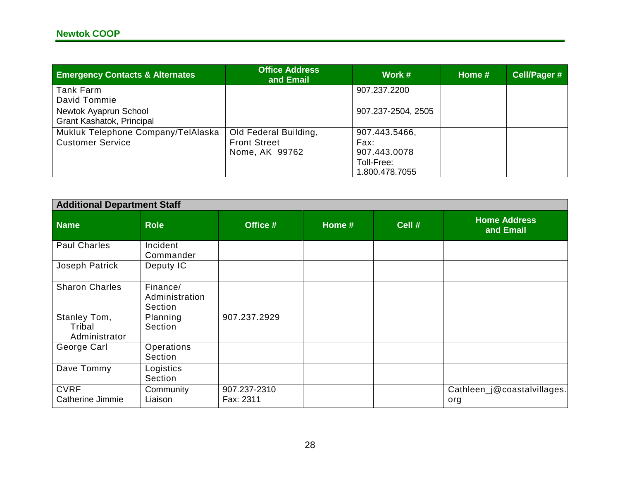| <b>Emergency Contacts &amp; Alternates</b>                    | <b>Office Address</b><br>and Email                             | Work #                                                                |  | Cell/Pager # |
|---------------------------------------------------------------|----------------------------------------------------------------|-----------------------------------------------------------------------|--|--------------|
| Tank Farm<br>David Tommie                                     |                                                                | 907.237.2200                                                          |  |              |
| Newtok Ayaprun School<br>Grant Kashatok, Principal            |                                                                | 907.237-2504, 2505                                                    |  |              |
| Mukluk Telephone Company/TelAlaska<br><b>Customer Service</b> | Old Federal Building,<br><b>Front Street</b><br>Nome, AK 99762 | 907.443.5466,<br>Fax:<br>907.443.0078<br>Toll-Free:<br>1.800.478.7055 |  |              |

| <b>Additional Department Staff</b>      |                                       |                           |        |        |                                    |
|-----------------------------------------|---------------------------------------|---------------------------|--------|--------|------------------------------------|
| <b>Name</b>                             | <b>Role</b>                           | Office #                  | Home # | Cell # | <b>Home Address</b><br>and Email   |
| <b>Paul Charles</b>                     | Incident<br>Commander                 |                           |        |        |                                    |
| Joseph Patrick                          | Deputy IC                             |                           |        |        |                                    |
| <b>Sharon Charles</b>                   | Finance/<br>Administration<br>Section |                           |        |        |                                    |
| Stanley Tom,<br>Tribal<br>Administrator | Planning<br>Section                   | 907.237.2929              |        |        |                                    |
| George Carl                             | Operations<br>Section                 |                           |        |        |                                    |
| Dave Tommy                              | Logistics<br>Section                  |                           |        |        |                                    |
| <b>CVRF</b><br>Catherine Jimmie         | Community<br>Liaison                  | 907.237-2310<br>Fax: 2311 |        |        | Cathleen_j@coastalvillages.<br>org |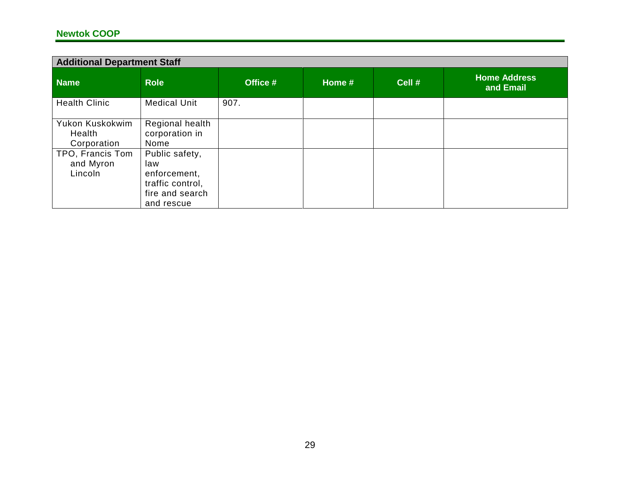#### **Newtok COOP**

| <b>Additional Department Staff</b>       |                                                   |          |          |        |                                  |
|------------------------------------------|---------------------------------------------------|----------|----------|--------|----------------------------------|
| <b>Name</b>                              | <b>Role</b>                                       | Office # | Home $#$ | Cell # | <b>Home Address</b><br>and Email |
| <b>Health Clinic</b>                     | <b>Medical Unit</b>                               | 907.     |          |        |                                  |
| Yukon Kuskokwim<br>Health<br>Corporation | Regional health<br>corporation in<br>Nome         |          |          |        |                                  |
| TPO, Francis Tom<br>and Myron<br>Lincoln | Public safety,<br>law<br>enforcement,             |          |          |        |                                  |
|                                          | traffic control,<br>fire and search<br>and rescue |          |          |        |                                  |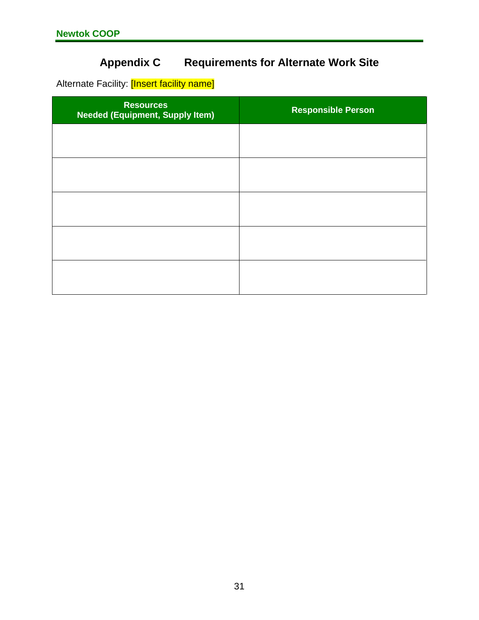## **Appendix C Requirements for Alternate Work Site**

Alternate Facility: [Insert facility name]

| <b>Resources</b><br><b>Needed (Equipment, Supply Item)</b> | <b>Responsible Person</b> |
|------------------------------------------------------------|---------------------------|
|                                                            |                           |
|                                                            |                           |
|                                                            |                           |
|                                                            |                           |
|                                                            |                           |
|                                                            |                           |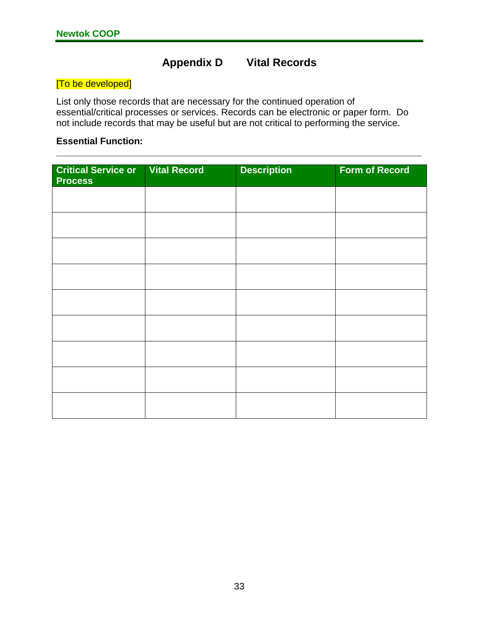## **Appendix D Vital Records**

#### <span id="page-42-0"></span>[To be developed]

List only those records that are necessary for the continued operation of essential/critical processes or services. Records can be electronic or paper form. Do not include records that may be useful but are not critical to performing the service.

**\_\_\_\_\_\_\_\_\_\_\_\_\_\_\_\_\_\_\_\_\_\_\_\_\_\_\_\_\_\_\_\_\_\_\_\_\_\_\_\_\_\_\_\_\_\_\_\_\_\_\_\_\_\_\_\_\_\_\_\_\_\_\_\_\_\_\_\_\_\_**

#### **Essential Function:**

| <b>Critical Service or   Vital Record</b><br><b>Process</b> | <b>Description</b> | <b>Form of Record</b> |
|-------------------------------------------------------------|--------------------|-----------------------|
|                                                             |                    |                       |
|                                                             |                    |                       |
|                                                             |                    |                       |
|                                                             |                    |                       |
|                                                             |                    |                       |
|                                                             |                    |                       |
|                                                             |                    |                       |
|                                                             |                    |                       |
|                                                             |                    |                       |
|                                                             |                    |                       |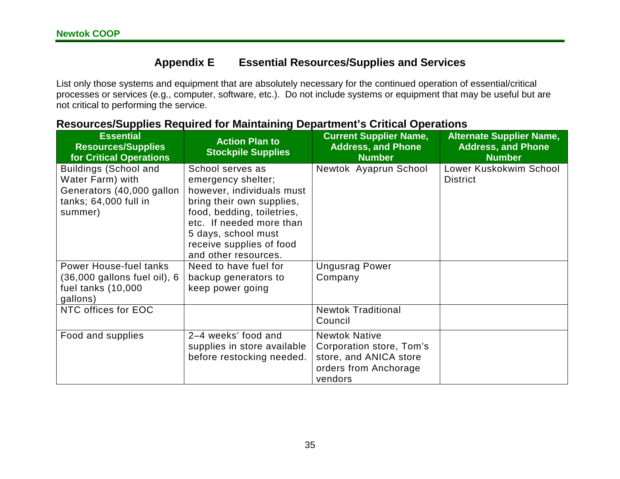## **Appendix E Essential Resources/Supplies and Services**

List only those systems and equipment that are absolutely necessary for the continued operation of essential/critical processes or services (e.g., computer, software, etc.). Do not include systems or equipment that may be useful but are not critical to performing the service.

| <b>Essential</b><br><b>Resources/Supplies</b><br>for Critical Operations                                          | <b>Action Plan to</b><br><b>Stockpile Supplies</b>                                                                                                                                                                                    | <b>Current Supplier Name,</b><br><b>Address, and Phone</b><br><b>Number</b>                                    | <b>Alternate Supplier Name,</b><br><b>Address, and Phone</b><br><b>Number</b> |
|-------------------------------------------------------------------------------------------------------------------|---------------------------------------------------------------------------------------------------------------------------------------------------------------------------------------------------------------------------------------|----------------------------------------------------------------------------------------------------------------|-------------------------------------------------------------------------------|
| <b>Buildings (School and</b><br>Water Farm) with<br>Generators (40,000 gallon<br>tanks; 64,000 full in<br>summer) | School serves as<br>emergency shelter;<br>however, individuals must<br>bring their own supplies,<br>food, bedding, toiletries,<br>etc. If needed more than<br>5 days, school must<br>receive supplies of food<br>and other resources. | Newtok Ayaprun School                                                                                          | Lower Kuskokwim School<br><b>District</b>                                     |
| <b>Power House-fuel tanks</b><br>$(36,000$ gallons fuel oil), $6$<br>fuel tanks (10,000<br>gallons)               | Need to have fuel for<br>backup generators to<br>keep power going                                                                                                                                                                     | <b>Ungusrag Power</b><br>Company                                                                               |                                                                               |
| NTC offices for EOC                                                                                               |                                                                                                                                                                                                                                       | <b>Newtok Traditional</b><br>Council                                                                           |                                                                               |
| Food and supplies                                                                                                 | 2-4 weeks' food and<br>supplies in store available<br>before restocking needed.                                                                                                                                                       | <b>Newtok Native</b><br>Corporation store, Tom's<br>store, and ANICA store<br>orders from Anchorage<br>vendors |                                                                               |

#### **Resources/Supplies Required for Maintaining Department's Critical Operations**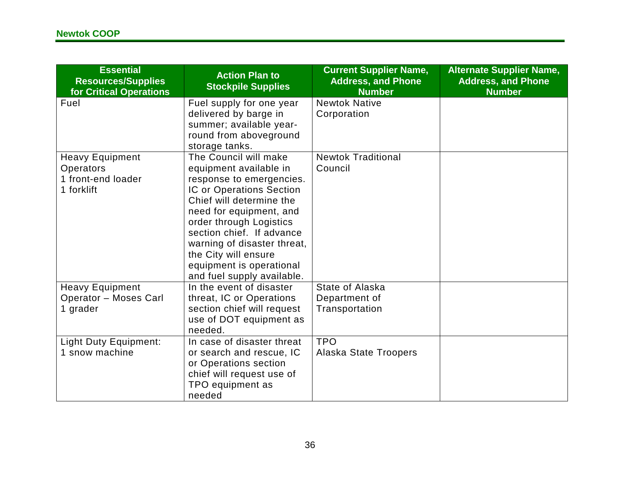| <b>Essential</b><br><b>Resources/Supplies</b><br>for Critical Operations | <b>Action Plan to</b><br><b>Stockpile Supplies</b>                                                                                                                                                                                                                                                                                      | <b>Current Supplier Name,</b><br><b>Address, and Phone</b><br><b>Number</b> | <b>Alternate Supplier Name,</b><br><b>Address, and Phone</b><br><b>Number</b> |
|--------------------------------------------------------------------------|-----------------------------------------------------------------------------------------------------------------------------------------------------------------------------------------------------------------------------------------------------------------------------------------------------------------------------------------|-----------------------------------------------------------------------------|-------------------------------------------------------------------------------|
| Fuel                                                                     | Fuel supply for one year<br>delivered by barge in<br>summer; available year-<br>round from aboveground<br>storage tanks.                                                                                                                                                                                                                | <b>Newtok Native</b><br>Corporation                                         |                                                                               |
| <b>Heavy Equipment</b><br>Operators<br>1 front-end loader<br>1 forklift  | The Council will make<br>equipment available in<br>response to emergencies.<br>IC or Operations Section<br>Chief will determine the<br>need for equipment, and<br>order through Logistics<br>section chief. If advance<br>warning of disaster threat,<br>the City will ensure<br>equipment is operational<br>and fuel supply available. | <b>Newtok Traditional</b><br>Council                                        |                                                                               |
| <b>Heavy Equipment</b><br><b>Operator - Moses Carl</b><br>1 grader       | In the event of disaster<br>threat, IC or Operations<br>section chief will request<br>use of DOT equipment as<br>needed.                                                                                                                                                                                                                | State of Alaska<br>Department of<br>Transportation                          |                                                                               |
| <b>Light Duty Equipment:</b><br>1 snow machine                           | In case of disaster threat<br>or search and rescue, IC<br>or Operations section<br>chief will request use of<br>TPO equipment as<br>needed                                                                                                                                                                                              | <b>TPO</b><br><b>Alaska State Troopers</b>                                  |                                                                               |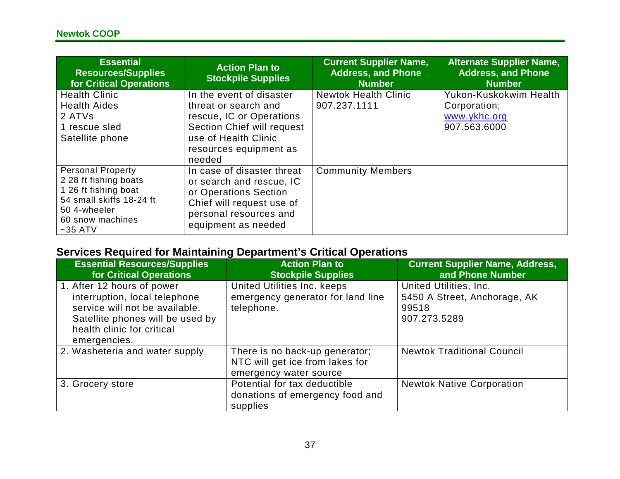| <b>Essential</b><br><b>Resources/Supplies</b><br>for Critical Operations                                                                               | <b>Action Plan to</b><br><b>Stockpile Supplies</b>                                                                                                                     | <b>Current Supplier Name,</b><br><b>Address, and Phone</b><br><b>Number</b> | <b>Alternate Supplier Name,</b><br><b>Address, and Phone</b><br><b>Number</b> |
|--------------------------------------------------------------------------------------------------------------------------------------------------------|------------------------------------------------------------------------------------------------------------------------------------------------------------------------|-----------------------------------------------------------------------------|-------------------------------------------------------------------------------|
| <b>Health Clinic</b><br><b>Health Aides</b><br>2 ATVs<br>1 rescue sled<br>Satellite phone                                                              | In the event of disaster<br>threat or search and<br>rescue, IC or Operations<br>Section Chief will request<br>use of Health Clinic<br>resources equipment as<br>needed | <b>Newtok Health Clinic</b><br>907.237.1111                                 | Yukon-Kuskokwim Health<br>Corporation;<br>www.ykhc.org<br>907.563.6000        |
| <b>Personal Property</b><br>2 28 ft fishing boats<br>1 26 ft fishing boat<br>54 small skiffs 18-24 ft<br>50 4-wheeler<br>60 snow machines<br>$~55$ ATV | In case of disaster threat<br>or search and rescue, IC<br>or Operations Section<br>Chief will request use of<br>personal resources and<br>equipment as needed          | <b>Community Members</b>                                                    |                                                                               |

## **Services Required for Maintaining Department's Critical Operations**

| <b>Essential Resources/Supplies</b><br><b>for Critical Operations</b>                                                                                                           | <b>Action Plan to</b><br><b>Stockpile Supplies</b>                                          | <b>Current Supplier Name, Address,</b><br>and Phone Number                      |
|---------------------------------------------------------------------------------------------------------------------------------------------------------------------------------|---------------------------------------------------------------------------------------------|---------------------------------------------------------------------------------|
| 1. After 12 hours of power<br>interruption, local telephone<br>service will not be available.<br>Satellite phones will be used by<br>health clinic for critical<br>emergencies. | United Utilities Inc. keeps<br>emergency generator for land line<br>telephone.              | United Utilities, Inc.<br>5450 A Street, Anchorage, AK<br>99518<br>907.273.5289 |
| 2. Washeteria and water supply                                                                                                                                                  | There is no back-up generator;<br>NTC will get ice from lakes for<br>emergency water source | <b>Newtok Traditional Council</b>                                               |
| 3. Grocery store                                                                                                                                                                | Potential for tax deductible<br>donations of emergency food and<br>supplies                 | <b>Newtok Native Corporation</b>                                                |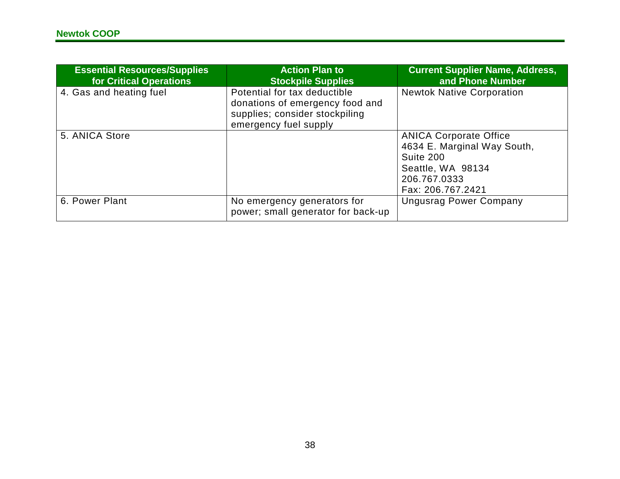| <b>Essential Resources/Supplies</b><br>for Critical Operations | <b>Action Plan to</b><br><b>Stockpile Supplies</b>                                                                         | <b>Current Supplier Name, Address,</b><br>and Phone Number                                                                          |
|----------------------------------------------------------------|----------------------------------------------------------------------------------------------------------------------------|-------------------------------------------------------------------------------------------------------------------------------------|
| 4. Gas and heating fuel                                        | Potential for tax deductible<br>donations of emergency food and<br>supplies; consider stockpiling<br>emergency fuel supply | <b>Newtok Native Corporation</b>                                                                                                    |
| 5. ANICA Store                                                 |                                                                                                                            | <b>ANICA Corporate Office</b><br>4634 E. Marginal Way South,<br>Suite 200<br>Seattle, WA 98134<br>206.767.0333<br>Fax: 206.767.2421 |
| 6. Power Plant                                                 | No emergency generators for<br>power; small generator for back-up                                                          | <b>Ungusrag Power Company</b>                                                                                                       |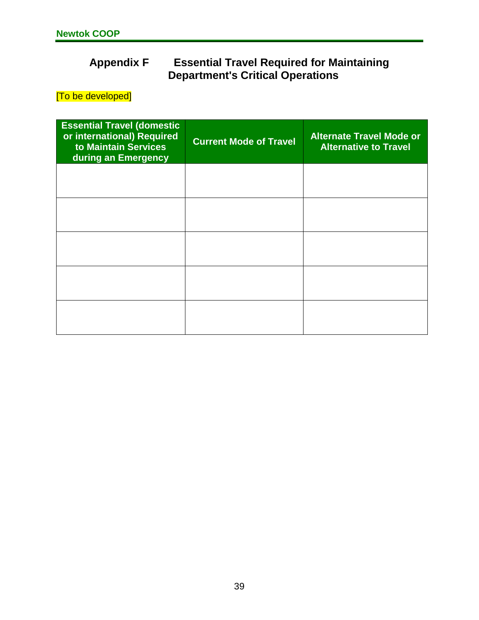## <span id="page-48-0"></span>**Appendix F Essential Travel Required for Maintaining Department's Critical Operations**

[To be developed]

| <b>Essential Travel (domestic</b><br>or international) Required<br>to Maintain Services<br>during an Emergency | <b>Current Mode of Travel</b> | <b>Alternate Travel Mode or</b><br><b>Alternative to Travel</b> |
|----------------------------------------------------------------------------------------------------------------|-------------------------------|-----------------------------------------------------------------|
|                                                                                                                |                               |                                                                 |
|                                                                                                                |                               |                                                                 |
|                                                                                                                |                               |                                                                 |
|                                                                                                                |                               |                                                                 |
|                                                                                                                |                               |                                                                 |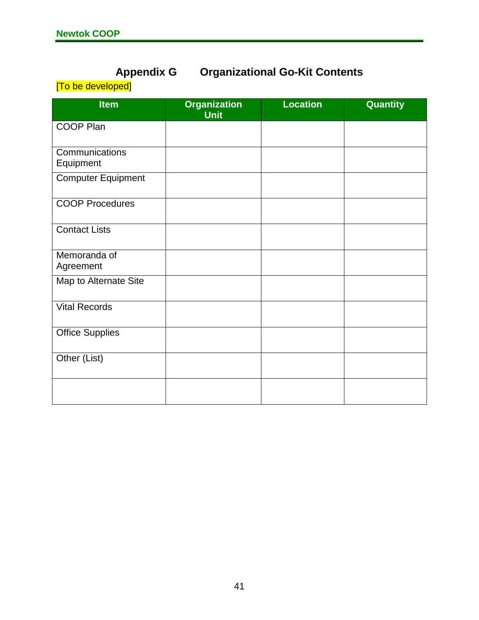## **Appendix G Organizational Go-Kit Contents**

<span id="page-50-0"></span>[To be developed]

| <b>Item</b>                 | <b>Organization</b><br><b>Unit</b> | <b>Location</b> | <b>Quantity</b> |
|-----------------------------|------------------------------------|-----------------|-----------------|
| <b>COOP Plan</b>            |                                    |                 |                 |
| Communications<br>Equipment |                                    |                 |                 |
| <b>Computer Equipment</b>   |                                    |                 |                 |
| <b>COOP Procedures</b>      |                                    |                 |                 |
| <b>Contact Lists</b>        |                                    |                 |                 |
| Memoranda of<br>Agreement   |                                    |                 |                 |
| Map to Alternate Site       |                                    |                 |                 |
| <b>Vital Records</b>        |                                    |                 |                 |
| <b>Office Supplies</b>      |                                    |                 |                 |
| Other (List)                |                                    |                 |                 |
|                             |                                    |                 |                 |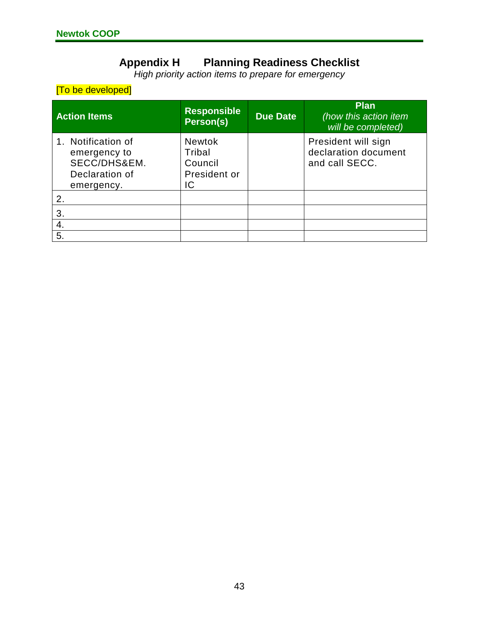#### **Appendix H Planning Readiness Checklist**

*High priority action items to prepare for emergency*

#### <span id="page-52-0"></span>[To be developed]

| <b>Action Items</b>                                                                | <b>Responsible</b><br>Person(s)                          | <b>Due Date</b> | <b>Plan</b><br>(how this action item<br>will be completed)    |
|------------------------------------------------------------------------------------|----------------------------------------------------------|-----------------|---------------------------------------------------------------|
| 1. Notification of<br>emergency to<br>SECC/DHS&EM.<br>Declaration of<br>emergency. | <b>Newtok</b><br>Tribal<br>Council<br>President or<br>IC |                 | President will sign<br>declaration document<br>and call SECC. |
| 2.                                                                                 |                                                          |                 |                                                               |
| 3.                                                                                 |                                                          |                 |                                                               |
| 4.                                                                                 |                                                          |                 |                                                               |
| 5.                                                                                 |                                                          |                 |                                                               |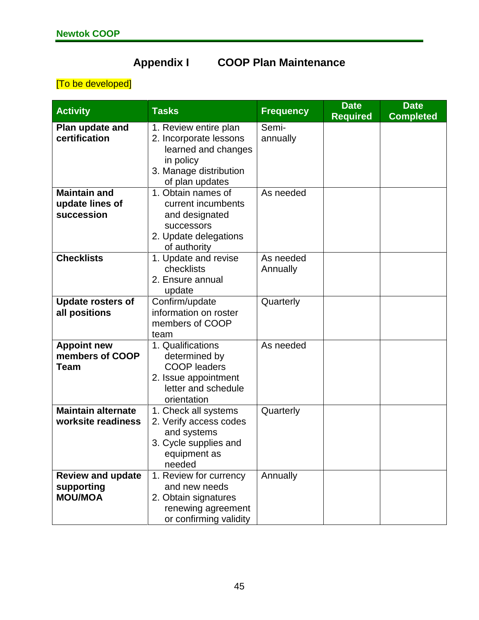## **Appendix I COOP Plan Maintenance**

## <span id="page-54-0"></span>[To be developed]

| <b>Activity</b>                                          | <b>Tasks</b>                                                                                                                     | <b>Frequency</b>      | <b>Date</b><br><b>Required</b> | <b>Date</b><br><b>Completed</b> |
|----------------------------------------------------------|----------------------------------------------------------------------------------------------------------------------------------|-----------------------|--------------------------------|---------------------------------|
| Plan update and<br>certification                         | 1. Review entire plan<br>2. Incorporate lessons<br>learned and changes<br>in policy<br>3. Manage distribution<br>of plan updates | Semi-<br>annually     |                                |                                 |
| <b>Maintain and</b><br>update lines of<br>succession     | 1. Obtain names of<br>current incumbents<br>and designated<br>successors<br>2. Update delegations<br>of authority                | As needed             |                                |                                 |
| <b>Checklists</b>                                        | 1. Update and revise<br>checklists<br>2. Ensure annual<br>update                                                                 | As needed<br>Annually |                                |                                 |
| <b>Update rosters of</b><br>all positions                | Confirm/update<br>information on roster<br>members of COOP<br>team                                                               | Quarterly             |                                |                                 |
| <b>Appoint new</b><br>members of COOP<br>Team            | 1. Qualifications<br>determined by<br><b>COOP</b> leaders<br>2. Issue appointment<br>letter and schedule<br>orientation          | As needed             |                                |                                 |
| <b>Maintain alternate</b><br>worksite readiness          | 1. Check all systems<br>2. Verify access codes<br>and systems<br>3. Cycle supplies and<br>equipment as<br>needed                 | Quarterly             |                                |                                 |
| <b>Review and update</b><br>supporting<br><b>MOU/MOA</b> | 1. Review for currency<br>and new needs<br>2. Obtain signatures<br>renewing agreement<br>or confirming validity                  | Annually              |                                |                                 |